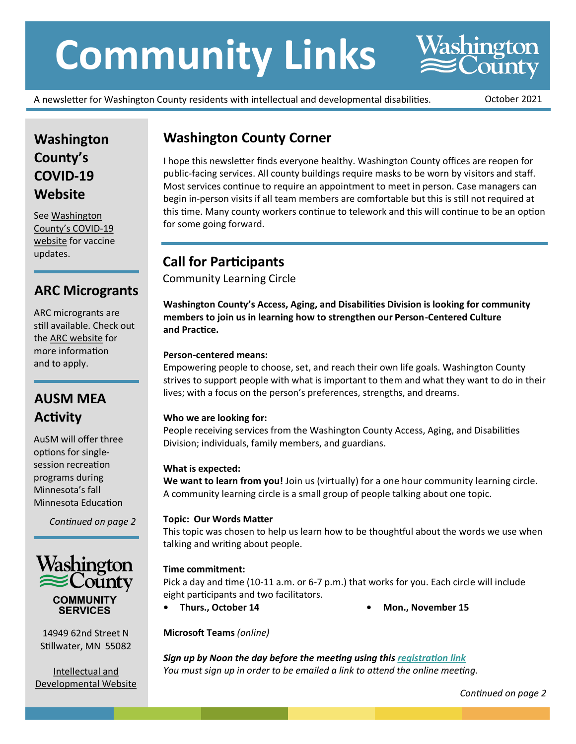# **Community Links**

A newsletter for Washington County residents with intellectual and developmental disabilities. October 2021

**Washington**<br> **County** 

## **Washington County's COVID-19 Website**

See [Washington](https://www.co.washington.mn.us/3168/COVID-19)  [County's COVID](https://www.co.washington.mn.us/3168/COVID-19)-19 [website](https://www.co.washington.mn.us/3168/COVID-19) for vaccine updates.

## **ARC Microgrants**

ARC microgrants are still available. Check out the [ARC website](https://arcminnesota.org/ways-we-can-help/scholarships-microgrants/) for more information and to apply.

## **AUSM MEA Activity**

AuSM will offer three options for singlesession recreation programs during Minnesota's fall Minnesota Education

*Continued on page 2*



14949 62nd Street N Stillwater, MN 55082

[Intellectual and](https://www.co.washington.mn.us/783/Intellectual-and-Developmental)  [Developmental Website](https://www.co.washington.mn.us/783/Intellectual-and-Developmental)

## **Washington County Corner**

I hope this newsletter finds everyone healthy. Washington County offices are reopen for public-facing services. All county buildings require masks to be worn by visitors and staff. Most services continue to require an appointment to meet in person. Case managers can begin in-person visits if all team members are comfortable but this is still not required at this time. Many county workers continue to telework and this will continue to be an option for some going forward.

## **Call for Participants**

Community Learning Circle

**Washington County's Access, Aging, and Disabilities Division is looking for community members to join us in learning how to strengthen our Person-Centered Culture and Practice.**

## **Person-centered means:**

Empowering people to choose, set, and reach their own life goals. Washington County strives to support people with what is important to them and what they want to do in their lives; with a focus on the person's preferences, strengths, and dreams.

## **Who we are looking for:**

People receiving services from the Washington County Access, Aging, and Disabilities Division; individuals, family members, and guardians.

## **What is expected:**

**We want to learn from you!** Join us (virtually) for a one hour community learning circle. A community learning circle is a small group of people talking about one topic.

## **Topic: Our Words Matter**

This topic was chosen to help us learn how to be thoughtful about the words we use when talking and writing about people.

## **Time commitment:**

Pick a day and time (10-11 a.m. or 6-7 p.m.) that works for you. Each circle will include eight participants and two facilitators.

**• Thurs., October 14 • Mon., November 15**

**Microsoft Teams** *(online)*

*Sign up by Noon the day before the meeting using this [registration link](http://www.signupgenius.com/go/4090c49abad2fa1f49-community) You must sign up in order to be emailed a link to attend the online meeting.*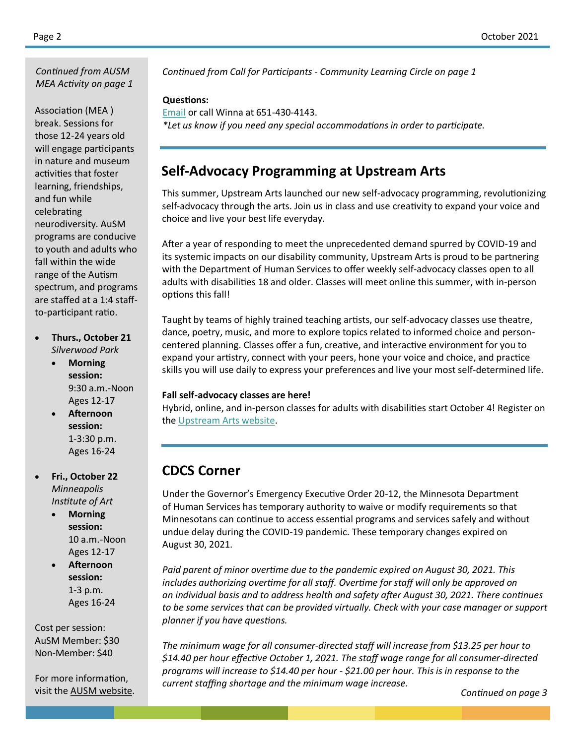*MEA Activity on page 1*

Association (MEA ) break. Sessions for those 12-24 years old will engage participants in nature and museum activities that foster learning, friendships, and fun while celebrating neurodiversity. AuSM programs are conducive to youth and adults who fall within the wide range of the Autism spectrum, and programs are staffed at a 1:4 staffto-participant ratio.

- **Thurs., October 21** *Silverwood Park*
	- **Morning session:** 9:30 a.m.-Noon Ages 12-17
	- **Afternoon session:** 1-3:30 p.m. Ages 16-24
- **Fri., October 22**  *Minneapolis Institute of Art*
	- **Morning session:** 10 a.m.-Noon Ages 12-17
	- **Afternoon session:** 1-3 p.m. Ages 16-24

Cost per session: AuSM Member: \$30 Non-Member: \$40

For more information, visit the [AUSM website.](https://ausm.org/)

*Continued from AUSM Continued from Call for Participants - Community Learning Circle on page 1*

#### **Questions:**

[Email](mailto:Winna.Bernard@co.washington.mn.us) or call Winna at 651-430-4143. *\*Let us know if you need any special accommodations in order to participate.*

## **Self-Advocacy Programming at Upstream Arts**

This summer, Upstream Arts launched our new self-advocacy programming, revolutionizing self-advocacy through the arts. Join us in class and use creativity to expand your voice and choice and live your best life everyday.

After a year of responding to meet the unprecedented demand spurred by COVID-19 and its systemic impacts on our disability community, Upstream Arts is proud to be partnering with the Department of Human Services to offer weekly self-advocacy classes open to all adults with disabilities 18 and older. Classes will meet online this summer, with in-person options this fall!

Taught by teams of highly trained teaching artists, our self-advocacy classes use theatre, dance, poetry, music, and more to explore topics related to informed choice and personcentered planning. Classes offer a fun, creative, and interactive environment for you to expand your artistry, connect with your peers, hone your voice and choice, and practice skills you will use daily to express your preferences and live your most self-determined life.

#### **Fall self-advocacy classes are here!**

Hybrid, online, and in-person classes for adults with disabilities start October 4! Register on the [Upstream Arts website.](https://www.upstreamarts.org/)

## **CDCS Corner**

Under the Governor's Emergency Executive Order 20-12, the Minnesota Department of Human Services has temporary authority to waive or modify requirements so that Minnesotans can continue to access essential programs and services safely and without undue delay during the COVID-19 pandemic. These temporary changes expired on August 30, 2021.

*Paid parent of minor overtime due to the pandemic expired on August 30, 2021. This includes authorizing overtime for all staff. Overtime for staff will only be approved on an individual basis and to address health and safety after August 30, 2021. There continues to be some services that can be provided virtually. Check with your case manager or support planner if you have questions.* 

*The minimum wage for all consumer-directed staff will increase from \$13.25 per hour to \$14.40 per hour effective October 1, 2021. The staff wage range for all consumer-directed programs will increase to \$14.40 per hour - \$21.00 per hour. This is in response to the current staffing shortage and the minimum wage increase.*

*Continued on page 3*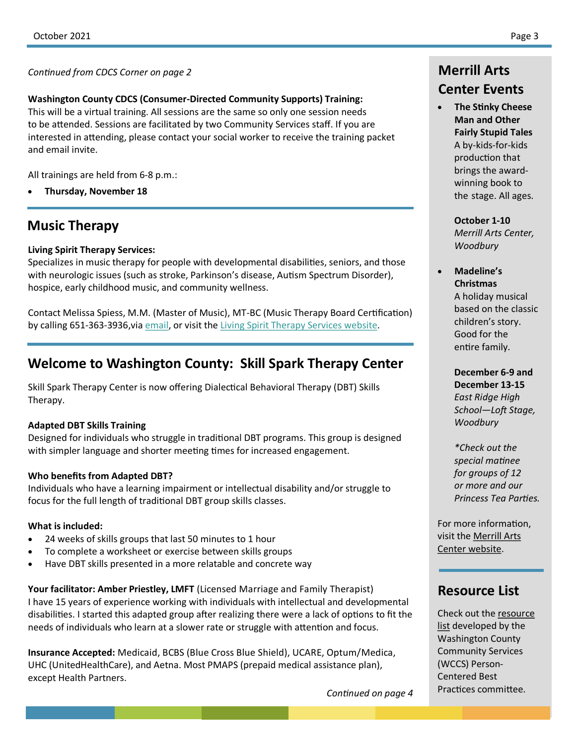**Washington County CDCS (Consumer-Directed Community Supports) Training:** This will be a virtual training. All sessions are the same so only one session needs to be attended. Sessions are facilitated by two Community Services staff. If you are interested in attending, please contact your social worker to receive the training packet and email invite.

All trainings are held from 6-8 p.m.:

**Thursday, November 18**

## **Music Therapy**

#### **Living Spirit Therapy Services:**

Specializes in music therapy for people with developmental disabilities, seniors, and those with neurologic issues (such as stroke, Parkinson's disease, Autism Spectrum Disorder), hospice, early childhood music, and community wellness.

Contact Melissa Spiess, M.M. (Master of Music), MT-BC (Music Therapy Board Certification) by calling 651-363-3936, via [email,](mailto:melissa@livingspirittherapy.com) or visit the [Living Spirit Therapy Services website.](https://www.livingspirittherapy.com/)

## **Welcome to Washington County: Skill Spark Therapy Center**

Skill Spark Therapy Center is now offering Dialectical Behavioral Therapy (DBT) Skills Therapy.

## **Adapted DBT Skills Training**

Designed for individuals who struggle in traditional DBT programs. This group is designed with simpler language and shorter meeting times for increased engagement.

## **Who benefits from Adapted DBT?**

Individuals who have a learning impairment or intellectual disability and/or struggle to focus for the full length of traditional DBT group skills classes.

#### **What is included:**

- 24 weeks of skills groups that last 50 minutes to 1 hour
- To complete a worksheet or exercise between skills groups
- Have DBT skills presented in a more relatable and concrete way

**Your facilitator: Amber Priestley, LMFT** (Licensed Marriage and Family Therapist) I have 15 years of experience working with individuals with intellectual and developmental disabilities. I started this adapted group after realizing there were a lack of options to fit the needs of individuals who learn at a slower rate or struggle with attention and focus.

**Insurance Accepted:** Medicaid, BCBS (Blue Cross Blue Shield), UCARE, Optum/Medica, UHC (UnitedHealthCare), and Aetna. Most PMAPS (prepaid medical assistance plan), except Health Partners.

*Continued on page 4*

## **Center Events**

 **The Stinky Cheese Man and Other Fairly Stupid Tales**  A by-kids-for-kids production that brings the awardwinning book to the stage. All ages.

> **October 1-10** *Merrill Arts Center, Woodbury*

## **Madeline's Christmas**

A holiday musical based on the classic children's story. Good for the entire family.

**December 6-9 and December 13-15** *East Ridge High School—Loft Stage, Woodbury*

*\*Check out the special matinee for groups of 12 or more and our Princess Tea Parties.*

For more information, visit the [Merrill Arts](https://merrillartscenter.org/)  [Center website.](https://merrillartscenter.org/)

## **Resource List**

Check out the [resource](https://www.co.washington.mn.us/DocumentCenter/View/24400/Resource-List)  [list](https://www.co.washington.mn.us/DocumentCenter/View/24400/Resource-List) developed by the Washington County Community Services (WCCS) Person-Centered Best Practices committee.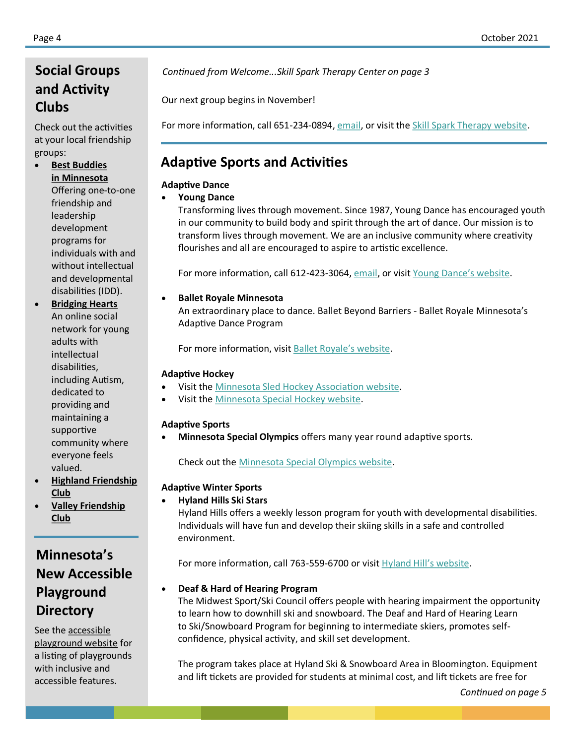## **and Activity Clubs**

Check out the activities at your local friendship groups:

 **[Best Buddies](https://www.bestbuddies.org/minnesota/) [in Minnesota](https://www.bestbuddies.org/minnesota/)** Offering one-to-one friendship and leadership development programs for individuals with and without intellectual and developmental disabilities (IDD).

 **[Bridging Hearts](https://www.bridginghearts.org/)** An online social network for young adults with intellectual disabilities, including Autism, dedicated to providing and maintaining a supportive community where everyone feels valued.

- **[Highland Friendship](https://www.highlandfriendshipclub.org/)  [Club](https://www.highlandfriendshipclub.org/)**
- **[Valley Friendship](https://www.valleyfriendshipclub.org/)  [Club](https://www.valleyfriendshipclub.org/)**

## **Minnesota's New Accessible Playground Directory**

See the [accessible](https://www.accessibleplayground.net/playground-directory/?cn-s&cn-cat=39&doing_wp_cron=1594694491.2063770294189453125000)  [playground website](https://www.accessibleplayground.net/playground-directory/?cn-s&cn-cat=39&doing_wp_cron=1594694491.2063770294189453125000) for a listing of playgrounds with inclusive and accessible features.

**Social Groups** *Continued from Welcome...Skill Spark Therapy Center on page 3*

Our next group begins in November!

For more information, call 651-234-0894, [email,](mailto:admin@skillsparktherapy.com) or visit the [Skill Spark Therapy website.](https://skillsparktherapy.com/)

## **Adaptive Sports and Activities**

## **Adaptive Dance**

## **Young Dance**

Transforming lives through movement. Since 1987, Young Dance has encouraged youth in our community to build body and spirit through the art of dance. Our mission is to transform lives through movement. We are an inclusive community where creativity flourishes and all are encouraged to aspire to artistic excellence.

For more information, call 612-423-3064, [email,](mailto:info@youngdance.org) or visit [Young Dance's website.](https://youngdance.org/about-the-company/)

## **Ballet Royale Minnesota**

An extraordinary place to dance. Ballet Beyond Barriers - Ballet Royale Minnesota's Adaptive Dance Program

For more information, visit **Ballet Royale's website**.

#### **Adaptive Hockey**

- Visit the [Minnesota Sled Hockey Association website.](https://www.mnsledhockey.org/)
- Visit the [Minnesota Special Hockey website.](https://www.mnspecialhockey.org/)

## **Adaptive Sports**

**Minnesota Special Olympics** offers many year round adaptive sports.

Check out the [Minnesota Special Olympics website.](https://www.specialolympics.org/programs/united-states/minnesota)

## **Adaptive Winter Sports**

## **Hyland Hills Ski Stars**

Hyland Hills offers a weekly lesson program for youth with developmental disabilities. Individuals will have fun and develop their skiing skills in a safe and controlled environment.

For more information, call 763-559-6700 or visit [Hyland Hill's website.](https://www.threeriversparks.org/page/snowsports-academy)

## **Deaf & Hard of Hearing Program**

The Midwest Sport/Ski Council offers people with hearing impairment the opportunity to learn how to downhill ski and snowboard. The Deaf and Hard of Hearing Learn to Ski/Snowboard Program for beginning to intermediate skiers, promotes selfconfidence, physical activity, and skill set development.

The program takes place at Hyland Ski & Snowboard Area in Bloomington. Equipment and lift tickets are provided for students at minimal cost, and lift tickets are free for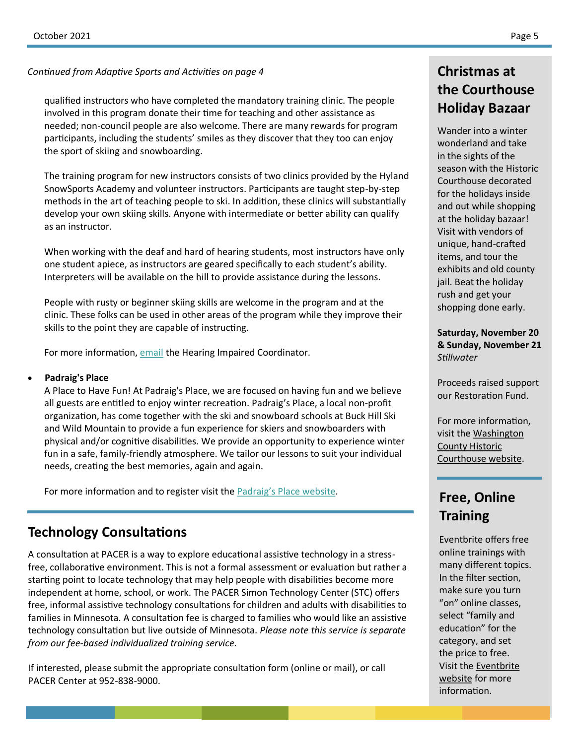#### *Continued from Adaptive Sports and Activities on page 4*

qualified instructors who have completed the mandatory training clinic. The people involved in this program donate their time for teaching and other assistance as needed; non-council people are also welcome. There are many rewards for program participants, including the students' smiles as they discover that they too can enjoy the sport of skiing and snowboarding.

The training program for new instructors consists of two clinics provided by the Hyland SnowSports Academy and volunteer instructors. Participants are taught step-by-step methods in the art of teaching people to ski. In addition, these clinics will substantially develop your own skiing skills. Anyone with intermediate or better ability can qualify as an instructor.

When working with the deaf and hard of hearing students, most instructors have only one student apiece, as instructors are geared specifically to each student's ability. Interpreters will be available on the hill to provide assistance during the lessons.

People with rusty or beginner skiing skills are welcome in the program and at the clinic. These folks can be used in other areas of the program while they improve their skills to the point they are capable of instructing.

For more information, [email](mailto:MSCDHHProgram@midwestfun.org) the Hearing Impaired Coordinator.

#### **Padraig's Place**

A Place to Have Fun! At Padraig's Place, we are focused on having fun and we believe all guests are entitled to enjoy winter recreation. Padraig's Place, a local non-profit organization, has come together with the ski and snowboard schools at Buck Hill Ski and Wild Mountain to provide a fun experience for skiers and snowboarders with physical and/or cognitive disabilities. We provide an opportunity to experience winter fun in a safe, family-friendly atmosphere. We tailor our lessons to suit your individual needs, creating the best memories, again and again.

For more information and to register visit the [Padraig's Place website.](https://www.padraigsplace.org/)

## **Technology Consultations**

A consultation at PACER is a way to explore educational assistive technology in a stressfree, collaborative environment. This is not a formal assessment or evaluation but rather a starting point to locate technology that may help people with disabilities become more independent at home, school, or work. The PACER Simon Technology Center (STC) offers free, informal assistive technology consultations for children and adults with disabilities to families in Minnesota. A consultation fee is charged to families who would like an assistive technology consultation but live outside of Minnesota. *Please note this service is separate from our fee-based individualized training service.*

If interested, please submit the appropriate consultation form (online or mail), or call PACER Center at 952-838-9000.

## **Christmas at the Courthouse Holiday Bazaar**

Wander into a winter wonderland and take in the sights of the season with the Historic Courthouse decorated for the holidays inside and out while shopping at the holiday bazaar! Visit with vendors of unique, hand-crafted items, and tour the exhibits and old county jail. Beat the holiday rush and get your shopping done early.

**Saturday, November 20 & Sunday, November 21** *Stillwater*

Proceeds raised support our Restoration Fund.

For more information, visit the [Washington](https://www.co.washington.mn.us/1903/Events)  [County Historic](https://www.co.washington.mn.us/1903/Events)  [Courthouse website.](https://www.co.washington.mn.us/1903/Events)

## **Free, Online Training**

Eventbrite offers free online trainings with many different topics. In the filter section, make sure you turn "on" online classes, select "family and education" for the category, and set the price to free. Visit the [Eventbrite](https://www.eventbrite.com/d/online/free--family-and-education--events/?page=3) [website](https://www.eventbrite.com/d/online/free--family-and-education--events/?page=3) for more information.